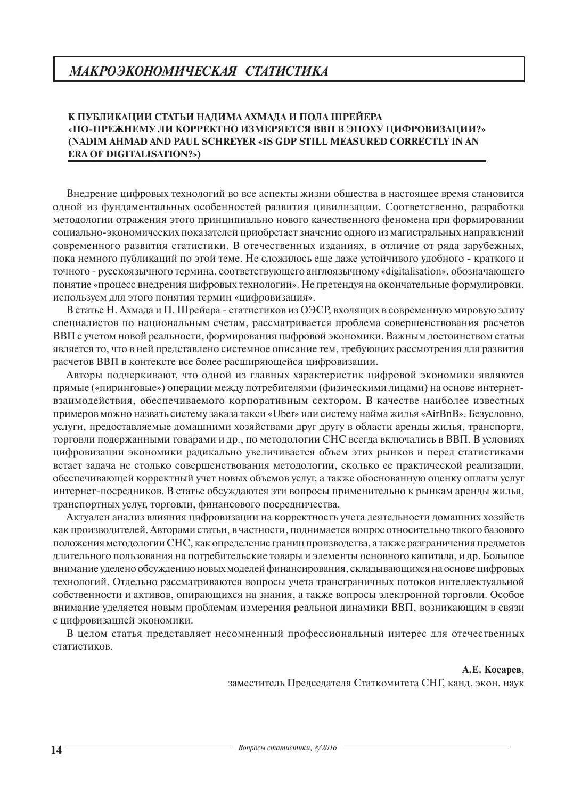# *МАКРОЭКОНОМИЧЕСКАЯ СТАТИСТИКА*

# **К ПУБЛИКАЦИИ СТАТЬИ НАДИМА АХМАДА И ПОЛА ШРЕЙЕРА «ПО-ПРЕЖНЕМУ ЛИ КОРРЕКТНО ИЗМЕРЯЕТСЯ ВВП В ЭПОХУ ЦИФРОВИЗАЦИИ?» (NADIM AHMAD AND PAUL SCHREYER «IS GDP STILL MEASURED CORRECTLY IN AN ERA OF DIGITALISATION?»)**

Внедрение цифровых технологий во все аспекты жизни общества в настоящее время становится одной из фундаментальных особенностей развития цивилизации. Соответственно, разработка методологии отражения этого принципиально нового качественного феномена при формировании социально-экономических показателей приобретает значение одного из магистральных направлений современного развития статистики. В отечественных изданиях, в отличие от ряда зарубежных, пока немного публикаций по этой теме. Не сложилось еще даже устойчивого удобного - краткого и точного - русскоязычного термина, соответствующего англоязычному «digitalisation», обозначающего понятие «процесс внедрения цифровых технологий». Не претендуя на окончательные формулировки, используем для этого понятия термин «цифровизация».

В статье Н. Ахмада и П. Шрейера - статистиков из ОЭСР, входящих в современную мировую элиту специалистов по национальным счетам, рассматривается проблема совершенствования расчетов ВВП с учетом новой реальности, формирования цифровой экономики. Важным достоинством статьи является то, что в ней представлено системное описание тем, требующих рассмотрения для развития расчетов ВВП в контексте все более расширяющейся цифровизации.

Авторы подчеркивают, что одной из главных характеристик цифровой экономики являются прямые («пиринговые») операции между потребителями (физическими лицами) на основе интернетвзаимодействия, обеспечиваемого корпоративным сектором. В качестве наиболее известных примеров можно назвать систему заказа такси «Uber» или систему найма жилья «AirBnB». Безусловно, услуги, предоставляемые домашними хозяйствами друг другу в области аренды жилья, транспорта, торговли подержанными товарами и др., по методологии СНС всегда включались в ВВП. В условиях цифровизации экономики радикально увеличивается объем этих рынков и перед статистиками встает задача не столько совершенствования методологии, сколько ее практической реализации, обеспечивающей корректный учет новых объемов услуг, а также обоснованную оценку оплаты услуг интернет-посредников. В статье обсуждаются эти вопросы применительно к рынкам аренды жилья, транспортных услуг, торговли, финансового посредничества.

Актуален анализ влияния цифровизации на корректность учета деятельности домашних хозяйств как производителей. Авторами статьи, в частности, поднимается вопрос относительно такого базового положения методологии СНС, как определение границ производства, а также разграничения предметов длительного пользования на потребительские товары и элементы основного капитала, и др. Большое внимание уделено обсуждению новых моделей финансирования, складывающихся на основе цифровых технологий. Отдельно рассматриваются вопросы учета трансграничных потоков интеллектуальной собственности и активов, опирающихся на знания, а также вопросы электронной торговли. Особое внимание уделяется новым проблемам измерения реальной динамики ВВП, возникающим в связи с цифровизацией экономики.

В целом статья представляет несомненный профессиональный интерес для отечественных статистиков.

**А.Е. Косарев**,

заместитель Председателя Статкомитета СНГ, канд. экон. наук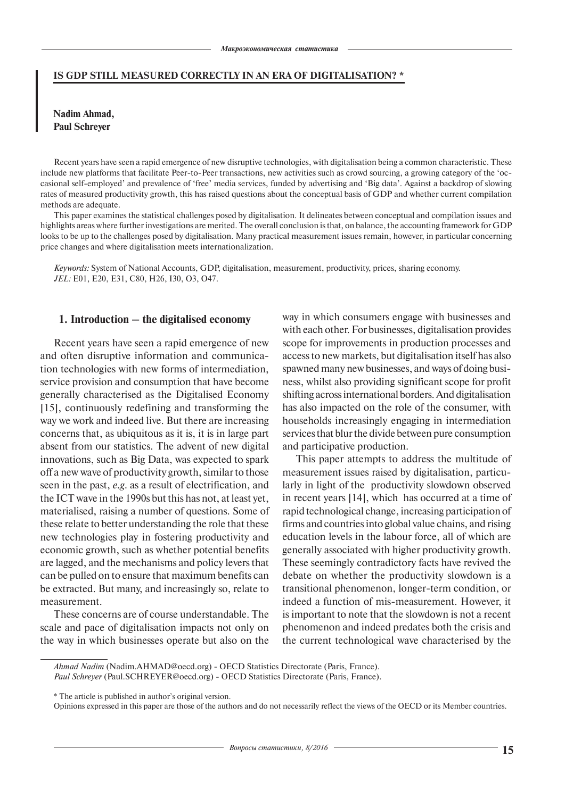### **Is GDP still measured correctly in an era of digitaliSation? \***

# **Nadim Ahmad, Paul Schreyer**

Recent years have seen a rapid emergence of new disruptive technologies, with digitalisation being a common characteristic. These include new platforms that facilitate Peer-to-Peer transactions, new activities such as crowd sourcing, a growing category of the 'occasional self-employed' and prevalence of 'free' media services, funded by advertising and 'Big data'. Against a backdrop of slowing rates of measured productivity growth, this has raised questions about the conceptual basis of GDP and whether current compilation methods are adequate.

This paper examines the statistical challenges posed by digitalisation. It delineates between conceptual and compilation issues and highlights areas where further investigations are merited. The overall conclusion is that, on balance, the accounting framework for GDP looks to be up to the challenges posed by digitalisation. Many practical measurement issues remain, however, in particular concerning price changes and where digitalisation meets internationalization.

*Keywords:* System of National Accounts, GDP, digitalisation, measurement, productivity, prices, sharing economy. *JEL:* E01, E20, E31, C80, H26, I30, O3, O47.

## **1. Introduction – the digitalised economy**

Recent years have seen a rapid emergence of new and often disruptive information and communication technologies with new forms of intermediation, service provision and consumption that have become generally characterised as the Digitalised Economy [15], continuously redefining and transforming the way we work and indeed live. But there are increasing concerns that, as ubiquitous as it is, it is in large part absent from our statistics. The advent of new digital innovations, such as Big Data, was expected to spark off a new wave of productivity growth, similar to those seen in the past, *e.g*. as a result of electrification, and the ICT wave in the 1990s but this has not, at least yet, materialised, raising a number of questions. Some of these relate to better understanding the role that these new technologies play in fostering productivity and economic growth, such as whether potential benefits are lagged, and the mechanisms and policy levers that can be pulled on to ensure that maximum benefits can be extracted. But many, and increasingly so, relate to measurement.

These concerns are of course understandable. The scale and pace of digitalisation impacts not only on the way in which businesses operate but also on the way in which consumers engage with businesses and with each other. For businesses, digitalisation provides scope for improvements in production processes and access to new markets, but digitalisation itself has also spawned many new businesses, and ways of doing business, whilst also providing significant scope for profit shifting across international borders. And digitalisation has also impacted on the role of the consumer, with households increasingly engaging in intermediation services that blur the divide between pure consumption and participative production.

This paper attempts to address the multitude of measurement issues raised by digitalisation, particularly in light of the productivity slowdown observed in recent years [14], which has occurred at a time of rapid technological change, increasing participation of firms and countries into global value chains, and rising education levels in the labour force, all of which are generally associated with higher productivity growth. These seemingly contradictory facts have revived the debate on whether the productivity slowdown is a transitional phenomenon, longer-term condition, or indeed a function of mis-measurement. However, it is important to note that the slowdown is not a recent phenomenon and indeed predates both the crisis and the current technological wave characterised by the

*Ahmad Nadim* (Nadim.AHMAD@oecd.org) - OECD Statistics Directorate (Paris, France). *Paul Schreyer* (Paul.SCHREYER@oecd.org) - OECD Statistics Directorate (Paris, France).

<sup>\*</sup> The article is published in author's original version.

Opinions expressed in this paper are those of the authors and do not necessarily reflect the views of the OECD or its Member countries.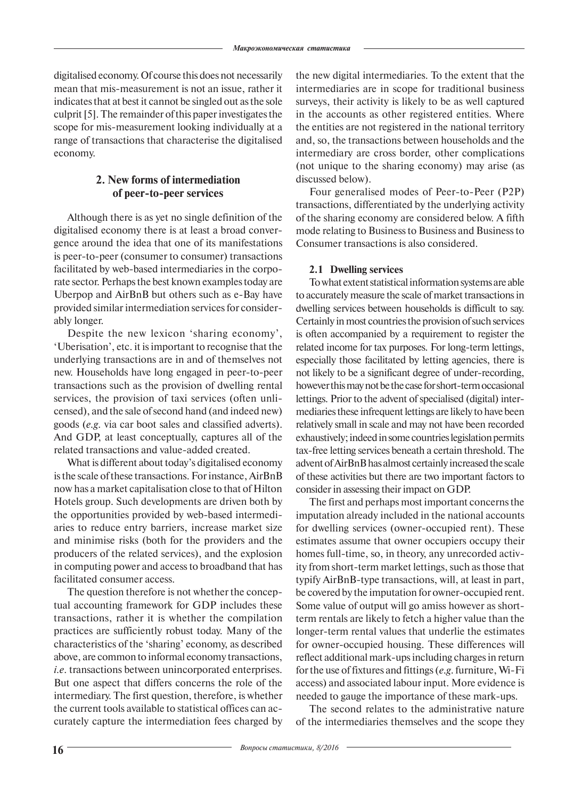digitalised economy. Of course this does not necessarily mean that mis-measurement is not an issue, rather it indicates that at best it cannot be singled out as the sole culprit [5]. The remainder of this paper investigates the scope for mis-measurement looking individually at a range of transactions that characterise the digitalised economy.

# **2. New forms of intermediation of peer-to-peer services**

Although there is as yet no single definition of the digitalised economy there is at least a broad convergence around the idea that one of its manifestations is peer-to-peer (consumer to consumer) transactions facilitated by web-based intermediaries in the corporate sector. Perhaps the best known examples today are Uberpop and AirBnB but others such as e-Bay have provided similar intermediation services for considerably longer.

Despite the new lexicon 'sharing economy', 'Uberisation', etc. it is important to recognise that the underlying transactions are in and of themselves not new. Households have long engaged in peer-to-peer transactions such as the provision of dwelling rental services, the provision of taxi services (often unlicensed), and the sale of second hand (and indeed new) goods (*e.g*. via car boot sales and classified adverts). And GDP, at least conceptually, captures all of the related transactions and value-added created.

What is different about today's digitalised economy is the scale of these transactions. For instance, AirBnB now has a market capitalisation close to that of Hilton Hotels group. Such developments are driven both by the opportunities provided by web-based intermediaries to reduce entry barriers, increase market size and minimise risks (both for the providers and the producers of the related services), and the explosion in computing power and access to broadband that has facilitated consumer access.

The question therefore is not whether the conceptual accounting framework for GDP includes these transactions, rather it is whether the compilation practices are sufficiently robust today. Many of the characteristics of the 'sharing' economy, as described above, are common to informal economy transactions, *i.e*. transactions between unincorporated enterprises. But one aspect that differs concerns the role of the intermediary. The first question, therefore, is whether the current tools available to statistical offices can accurately capture the intermediation fees charged by

the new digital intermediaries. To the extent that the intermediaries are in scope for traditional business surveys, their activity is likely to be as well captured in the accounts as other registered entities. Where the entities are not registered in the national territory and, so, the transactions between households and the intermediary are cross border, other complications (not unique to the sharing economy) may arise (as discussed below).

Four generalised modes of Peer-to-Peer (P2P) transactions, differentiated by the underlying activity of the sharing economy are considered below. A fifth mode relating to Business to Business and Business to Consumer transactions is also considered.

# **2.1 Dwelling services**

To what extent statistical information systems are able to accurately measure the scale of market transactions in dwelling services between households is difficult to say. Certainly in most countries the provision of such services is often accompanied by a requirement to register the related income for tax purposes. For long-term lettings, especially those facilitated by letting agencies, there is not likely to be a significant degree of under-recording, however this may not be the case for short-term occasional lettings. Prior to the advent of specialised (digital) intermediaries these infrequent lettings are likely to have been relatively small in scale and may not have been recorded exhaustively; indeed in some countries legislation permits tax-free letting services beneath a certain threshold. The advent of AirBnB has almost certainly increased the scale of these activities but there are two important factors to consider in assessing their impact on GDP.

The first and perhaps most important concerns the imputation already included in the national accounts for dwelling services (owner-occupied rent). These estimates assume that owner occupiers occupy their homes full-time, so, in theory, any unrecorded activity from short-term market lettings, such as those that typify AirBnB-type transactions, will, at least in part, be covered by the imputation for owner-occupied rent. Some value of output will go amiss however as shortterm rentals are likely to fetch a higher value than the longer-term rental values that underlie the estimates for owner-occupied housing. These differences will reflect additional mark-ups including charges in return for the use of fixtures and fittings (*e.g*. furniture, Wi-Fi access) and associated labour input. More evidence is needed to gauge the importance of these mark-ups.

The second relates to the administrative nature of the intermediaries themselves and the scope they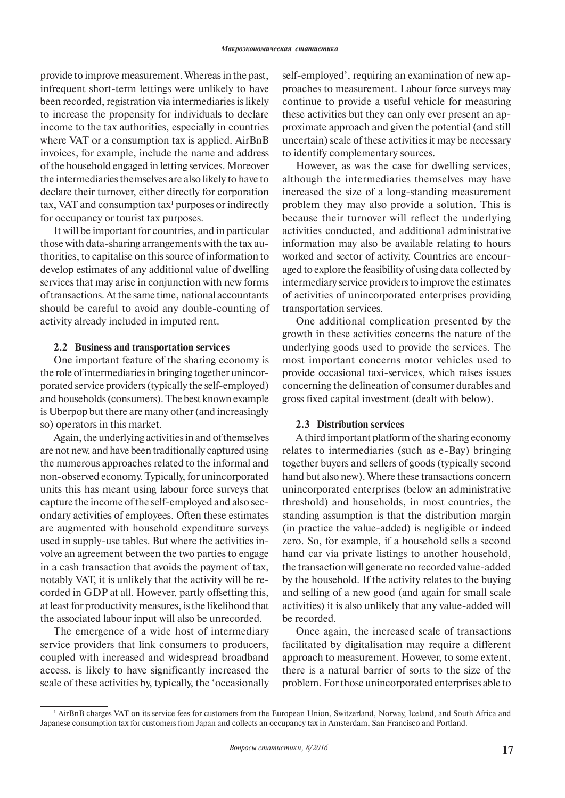provide to improve measurement. Whereas in the past, infrequent short-term lettings were unlikely to have been recorded, registration via intermediaries is likely to increase the propensity for individuals to declare income to the tax authorities, especially in countries where VAT or a consumption tax is applied. AirBnB invoices, for example, include the name and address of the household engaged in letting services. Moreover the intermediaries themselves are also likely to have to declare their turnover, either directly for corporation  $\text{tax}, \text{VAT}$  and consumption  $\text{tax}^1$  purposes or indirectly for occupancy or tourist tax purposes.

It will be important for countries, and in particular those with data-sharing arrangements with the tax authorities, to capitalise on this source of information to develop estimates of any additional value of dwelling services that may arise in conjunction with new forms of transactions. At the same time, national accountants should be careful to avoid any double-counting of activity already included in imputed rent.

## **2.2 Business and transportation services**

One important feature of the sharing economy is the role of intermediaries in bringing together unincorporated service providers (typically the self-employed) and households (consumers). The best known example is Uberpop but there are many other (and increasingly so) operators in this market.

Again, the underlying activities in and of themselves are not new, and have been traditionally captured using the numerous approaches related to the informal and non-observed economy. Typically, for unincorporated units this has meant using labour force surveys that capture the income of the self-employed and also secondary activities of employees. Often these estimates are augmented with household expenditure surveys used in supply-use tables. But where the activities involve an agreement between the two parties to engage in a cash transaction that avoids the payment of tax, notably VAT, it is unlikely that the activity will be recorded in GDP at all. However, partly offsetting this, at least for productivity measures, is the likelihood that the associated labour input will also be unrecorded.

The emergence of a wide host of intermediary service providers that link consumers to producers, coupled with increased and widespread broadband access, is likely to have significantly increased the scale of these activities by, typically, the 'occasionally

self-employed', requiring an examination of new approaches to measurement. Labour force surveys may continue to provide a useful vehicle for measuring these activities but they can only ever present an approximate approach and given the potential (and still uncertain) scale of these activities it may be necessary to identify complementary sources.

However, as was the case for dwelling services, although the intermediaries themselves may have increased the size of a long-standing measurement problem they may also provide a solution. This is because their turnover will reflect the underlying activities conducted, and additional administrative information may also be available relating to hours worked and sector of activity. Countries are encouraged to explore the feasibility of using data collected by intermediary service providers to improve the estimates of activities of unincorporated enterprises providing transportation services.

One additional complication presented by the growth in these activities concerns the nature of the underlying goods used to provide the services. The most important concerns motor vehicles used to provide occasional taxi-services, which raises issues concerning the delineation of consumer durables and gross fixed capital investment (dealt with below).

## **2.3 Distribution services**

A third important platform of the sharing economy relates to intermediaries (such as e-Bay) bringing together buyers and sellers of goods (typically second hand but also new). Where these transactions concern unincorporated enterprises (below an administrative threshold) and households, in most countries, the standing assumption is that the distribution margin (in practice the value-added) is negligible or indeed zero. So, for example, if a household sells a second hand car via private listings to another household, the transaction will generate no recorded value-added by the household. If the activity relates to the buying and selling of a new good (and again for small scale activities) it is also unlikely that any value-added will be recorded.

Once again, the increased scale of transactions facilitated by digitalisation may require a different approach to measurement. However, to some extent, there is a natural barrier of sorts to the size of the problem. For those unincorporated enterprises able to

<sup>&</sup>lt;sup>1</sup> AirBnB charges VAT on its service fees for customers from the European Union, Switzerland, Norway, Iceland, and South Africa and Japanese consumption tax for customers from Japan and collects an occupancy tax in Amsterdam, San Francisco and Portland.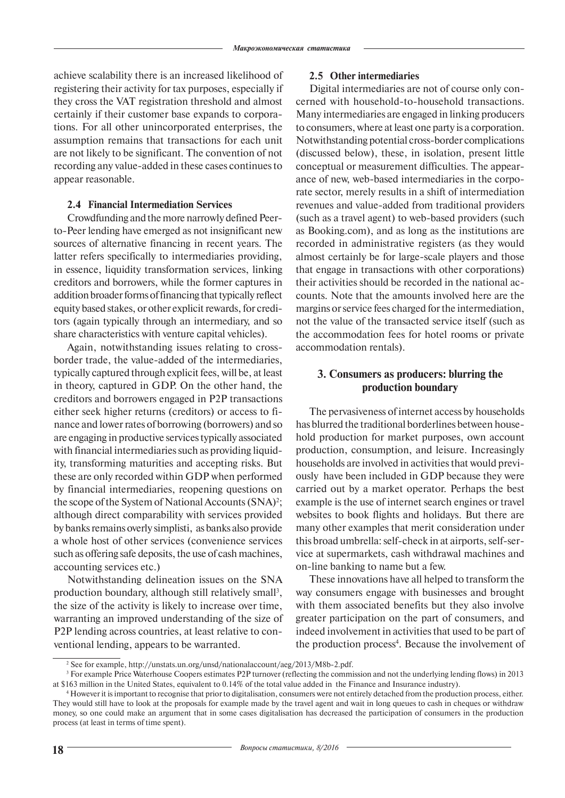achieve scalability there is an increased likelihood of registering their activity for tax purposes, especially if they cross the VAT registration threshold and almost certainly if their customer base expands to corporations. For all other unincorporated enterprises, the assumption remains that transactions for each unit are not likely to be significant. The convention of not recording any value-added in these cases continues to appear reasonable.

## **2.4 Financial Intermediation Services**

Crowdfunding and the more narrowly defined Peerto-Peer lending have emerged as not insignificant new sources of alternative financing in recent years. The latter refers specifically to intermediaries providing, in essence, liquidity transformation services, linking creditors and borrowers, while the former captures in addition broader forms of financing that typically reflect equity based stakes, or other explicit rewards, for creditors (again typically through an intermediary, and so share characteristics with venture capital vehicles).

Again, notwithstanding issues relating to crossborder trade, the value-added of the intermediaries, typically captured through explicit fees, will be, at least in theory, captured in GDP. On the other hand, the creditors and borrowers engaged in P2P transactions either seek higher returns (creditors) or access to finance and lower rates of borrowing (borrowers) and so are engaging in productive services typically associated with financial intermediaries such as providing liquidity, transforming maturities and accepting risks. But these are only recorded within GDP when performed by financial intermediaries, reopening questions on the scope of the System of National Accounts (SNA)<sup>2</sup>; although direct comparability with services provided by banks remains overly simplisti, as banks also provide a whole host of other services (convenience services such as offering safe deposits, the use of cash machines, accounting services etc.)

Notwithstanding delineation issues on the SNA production boundary, although still relatively small<sup>3</sup>, the size of the activity is likely to increase over time, warranting an improved understanding of the size of P2P lending across countries, at least relative to conventional lending, appears to be warranted.

## **2.5 Other intermediaries**

Digital intermediaries are not of course only concerned with household-to-household transactions. Many intermediaries are engaged in linking producers to consumers, where at least one party is a corporation. Notwithstanding potential cross-border complications (discussed below), these, in isolation, present little conceptual or measurement difficulties. The appearance of new, web-based intermediaries in the corporate sector, merely results in a shift of intermediation revenues and value-added from traditional providers (such as a travel agent) to web-based providers (such as Booking.com), and as long as the institutions are recorded in administrative registers (as they would almost certainly be for large-scale players and those that engage in transactions with other corporations) their activities should be recorded in the national accounts. Note that the amounts involved here are the margins or service fees charged for the intermediation, not the value of the transacted service itself (such as the accommodation fees for hotel rooms or private accommodation rentals).

# **3. Consumers as producers: blurring the production boundary**

The pervasiveness of internet access by households has blurred the traditional borderlines between household production for market purposes, own account production, consumption, and leisure. Increasingly households are involved in activities that would previously have been included in GDP because they were carried out by a market operator. Perhaps the best example is the use of internet search engines or travel websites to book flights and holidays. But there are many other examples that merit consideration under this broad umbrella: self-check in at airports, self-service at supermarkets, cash withdrawal machines and on-line banking to name but a few.

These innovations have all helped to transform the way consumers engage with businesses and brought with them associated benefits but they also involve greater participation on the part of consumers, and indeed involvement in activities that used to be part of the production process<sup>4</sup>. Because the involvement of

<sup>2</sup> See for example, http://unstats.un.org/unsd/nationalaccount/aeg/2013/M8b-2.pdf.

<sup>&</sup>lt;sup>3</sup> For example Price Waterhouse Coopers estimates P2P turnover (reflecting the commission and not the underlying lending flows) in 2013 at \$163 million in the United States, equivalent to 0.14% of the total value added in the Finance and Insurance industry).

<sup>4</sup> However it is important to recognise that prior to digitalisation, consumers were not entirely detached from the production process, either. They would still have to look at the proposals for example made by the travel agent and wait in long queues to cash in cheques or withdraw money, so one could make an argument that in some cases digitalisation has decreased the participation of consumers in the production process (at least in terms of time spent).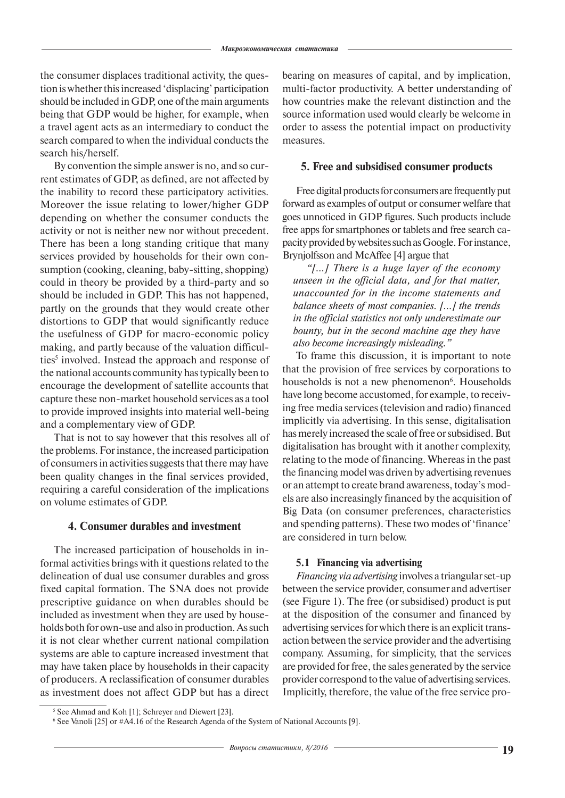the consumer displaces traditional activity, the question is whether this increased 'displacing' participation should be included in GDP, one of the main arguments being that GDP would be higher, for example, when a travel agent acts as an intermediary to conduct the search compared to when the individual conducts the search his/herself.

By convention the simple answer is no, and so current estimates of GDP, as defined, are not affected by the inability to record these participatory activities. Moreover the issue relating to lower/higher GDP depending on whether the consumer conducts the activity or not is neither new nor without precedent. There has been a long standing critique that many services provided by households for their own consumption (cooking, cleaning, baby-sitting, shopping) could in theory be provided by a third-party and so should be included in GDP. This has not happened, partly on the grounds that they would create other distortions to GDP that would significantly reduce the usefulness of GDP for macro-economic policy making, and partly because of the valuation difficulties<sup>5</sup> involved. Instead the approach and response of the national accounts community has typically been to encourage the development of satellite accounts that capture these non-market household services as a tool to provide improved insights into material well-being and a complementary view of GDP.

That is not to say however that this resolves all of the problems. For instance, the increased participation of consumers in activities suggests that there may have been quality changes in the final services provided, requiring a careful consideration of the implications on volume estimates of GDP.

## **4. Consumer durables and investment**

The increased participation of households in informal activities brings with it questions related to the delineation of dual use consumer durables and gross fixed capital formation. The SNA does not provide prescriptive guidance on when durables should be included as investment when they are used by households both for own-use and also in production. As such it is not clear whether current national compilation systems are able to capture increased investment that may have taken place by households in their capacity of producers. A reclassification of consumer durables as investment does not affect GDP but has a direct

bearing on measures of capital, and by implication, multi-factor productivity. A better understanding of how countries make the relevant distinction and the source information used would clearly be welcome in order to assess the potential impact on productivity measures.

## **5. Free and subsidised consumer products**

Free digital products for consumers are frequently put forward as examples of output or consumer welfare that goes unnoticed in GDP figures. Such products include free apps for smartphones or tablets and free search capacity provided by websites such as Google. For instance, Brynjolfsson and McAffee [4] argue that

*"[…] There is a huge layer of the economy unseen in the official data, and for that matter, unaccounted for in the income statements and balance sheets of most companies. […] the trends in the official statistics not only underestimate our bounty, but in the second machine age they have also become increasingly misleading."* 

To frame this discussion, it is important to note that the provision of free services by corporations to households is not a new phenomenon<sup>6</sup>. Households have long become accustomed, for example, to receiving free media services (television and radio) financed implicitly via advertising. In this sense, digitalisation has merely increased the scale of free or subsidised. But digitalisation has brought with it another complexity, relating to the mode of financing. Whereas in the past the financing model was driven by advertising revenues or an attempt to create brand awareness, today's models are also increasingly financed by the acquisition of Big Data (on consumer preferences, characteristics and spending patterns). These two modes of 'finance' are considered in turn below.

#### **5.1 Financing via advertising**

*Financing via advertising* involves a triangular set-up between the service provider, consumer and advertiser (see Figure 1). The free (or subsidised) product is put at the disposition of the consumer and financed by advertising services for which there is an explicit transaction between the service provider and the advertising company. Assuming, for simplicity, that the services are provided for free, the sales generated by the service provider correspond to the value of advertising services. Implicitly, therefore, the value of the free service pro-

<sup>&</sup>lt;sup>5</sup> See Ahmad and Koh [1]; Schreyer and Diewert [23].

<sup>6</sup> See Vanoli [25] or #A4.16 of the Research Agenda of the System of National Accounts [9].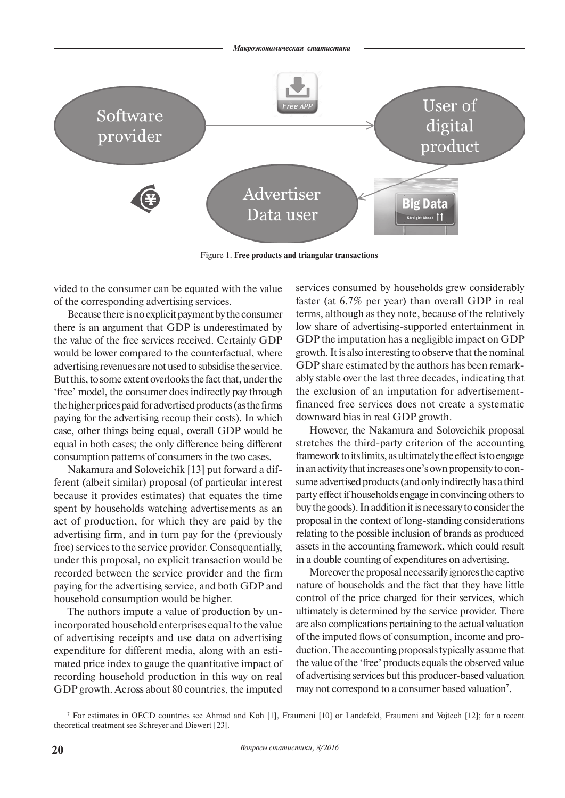

Figure 1. **Free products and triangular transactions**

vided to the consumer can be equated with the value of the corresponding advertising services.

Because there is no explicit payment by the consumer there is an argument that GDP is underestimated by the value of the free services received. Certainly GDP would be lower compared to the counterfactual, where advertising revenues are not used to subsidise the service. But this, to some extent overlooks the fact that, under the 'free' model, the consumer does indirectly pay through the higher prices paid for advertised products (as the firms paying for the advertising recoup their costs). In which case, other things being equal, overall GDP would be equal in both cases; the only difference being different consumption patterns of consumers in the two cases.

Nakamura and Soloveichik [13] put forward a different (albeit similar) proposal (of particular interest because it provides estimates) that equates the time spent by households watching advertisements as an act of production, for which they are paid by the advertising firm, and in turn pay for the (previously free) services to the service provider. Consequentially, under this proposal, no explicit transaction would be recorded between the service provider and the firm paying for the advertising service, and both GDP and household consumption would be higher.

The authors impute a value of production by unincorporated household enterprises equal to the value of advertising receipts and use data on advertising expenditure for different media, along with an estimated price index to gauge the quantitative impact of recording household production in this way on real GDP growth. Across about 80 countries, the imputed

services consumed by households grew considerably faster (at 6.7% per year) than overall GDP in real terms, although as they note, because of the relatively low share of advertising-supported entertainment in GDP the imputation has a negligible impact on GDP growth. It is also interesting to observe that the nominal GDP share estimated by the authors has been remarkably stable over the last three decades, indicating that the exclusion of an imputation for advertisementfinanced free services does not create a systematic downward bias in real GDP growth.

However, the Nakamura and Soloveichik proposal stretches the third-party criterion of the accounting framework to its limits, as ultimately the effect is to engage in an activity that increases one's own propensity to consume advertised products (and only indirectly has a third party effect if households engage in convincing others to buy the goods). In addition it is necessary to consider the proposal in the context of long-standing considerations relating to the possible inclusion of brands as produced assets in the accounting framework, which could result in a double counting of expenditures on advertising.

Moreover the proposal necessarily ignores the captive nature of households and the fact that they have little control of the price charged for their services, which ultimately is determined by the service provider. There are also complications pertaining to the actual valuation of the imputed flows of consumption, income and production. The accounting proposals typically assume that the value of the 'free' products equals the observed value of advertising services but this producer-based valuation may not correspond to a consumer based valuation<sup>7</sup>.

<sup>7</sup> For estimates in OECD countries see Ahmad and Koh [1], Fraumeni [10] or Landefeld, Fraumeni and Vojtech [12]; for a recent theoretical treatment see Schreyer and Diewert [23].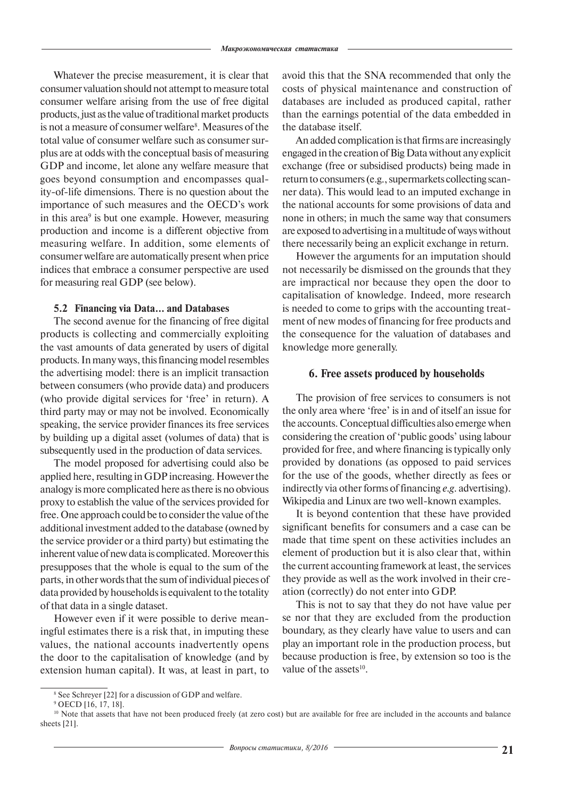Whatever the precise measurement, it is clear that consumer valuation should not attempt to measure total consumer welfare arising from the use of free digital products, just as the value of traditional market products is not a measure of consumer welfare<sup>8</sup>. Measures of the total value of consumer welfare such as consumer surplus are at odds with the conceptual basis of measuring GDP and income, let alone any welfare measure that goes beyond consumption and encompasses quality-of-life dimensions. There is no question about the importance of such measures and the OECD's work in this area<sup>9</sup> is but one example. However, measuring production and income is a different objective from measuring welfare. In addition, some elements of consumer welfare are automatically present when price indices that embrace a consumer perspective are used for measuring real GDP (see below).

## **5.2 Financing via Data… and Databases**

The second avenue for the financing of free digital products is collecting and commercially exploiting the vast amounts of data generated by users of digital products. In many ways, this financing model resembles the advertising model: there is an implicit transaction between consumers (who provide data) and producers (who provide digital services for 'free' in return). A third party may or may not be involved. Economically speaking, the service provider finances its free services by building up a digital asset (volumes of data) that is subsequently used in the production of data services.

The model proposed for advertising could also be applied here, resulting in GDP increasing. However the analogy is more complicated here as there is no obvious proxy to establish the value of the services provided for free. One approach could be to consider the value of the additional investment added to the database (owned by the service provider or a third party) but estimating the inherent value of new data is complicated. Moreover this presupposes that the whole is equal to the sum of the parts, in other words that the sum of individual pieces of data provided by households is equivalent to the totality of that data in a single dataset.

However even if it were possible to derive meaningful estimates there is a risk that, in imputing these values, the national accounts inadvertently opens the door to the capitalisation of knowledge (and by extension human capital). It was, at least in part, to avoid this that the SNA recommended that only the costs of physical maintenance and construction of databases are included as produced capital, rather than the earnings potential of the data embedded in the database itself.

An added complication is that firms are increasingly engaged in the creation of Big Data without any explicit exchange (free or subsidised products) being made in return to consumers (e.g., supermarkets collecting scanner data). This would lead to an imputed exchange in the national accounts for some provisions of data and none in others; in much the same way that consumers are exposed to advertising in a multitude of ways without there necessarily being an explicit exchange in return.

However the arguments for an imputation should not necessarily be dismissed on the grounds that they are impractical nor because they open the door to capitalisation of knowledge. Indeed, more research is needed to come to grips with the accounting treatment of new modes of financing for free products and the consequence for the valuation of databases and knowledge more generally.

## **6. Free assets produced by households**

The provision of free services to consumers is not the only area where 'free' is in and of itself an issue for the accounts. Conceptual difficulties also emerge when considering the creation of 'public goods' using labour provided for free, and where financing is typically only provided by donations (as opposed to paid services for the use of the goods, whether directly as fees or indirectly via other forms of financing *e.g*. advertising). Wikipedia and Linux are two well-known examples.

It is beyond contention that these have provided significant benefits for consumers and a case can be made that time spent on these activities includes an element of production but it is also clear that, within the current accounting framework at least, the services they provide as well as the work involved in their creation (correctly) do not enter into GDP.

This is not to say that they do not have value per se nor that they are excluded from the production boundary, as they clearly have value to users and can play an important role in the production process, but because production is free, by extension so too is the value of the assets<sup>10</sup>.

<sup>8</sup> See Schreyer [22] for a discussion of GDP and welfare.

<sup>9</sup> OECD [16, 17, 18].

<sup>&</sup>lt;sup>10</sup> Note that assets that have not been produced freely (at zero cost) but are available for free are included in the accounts and balance sheets [21].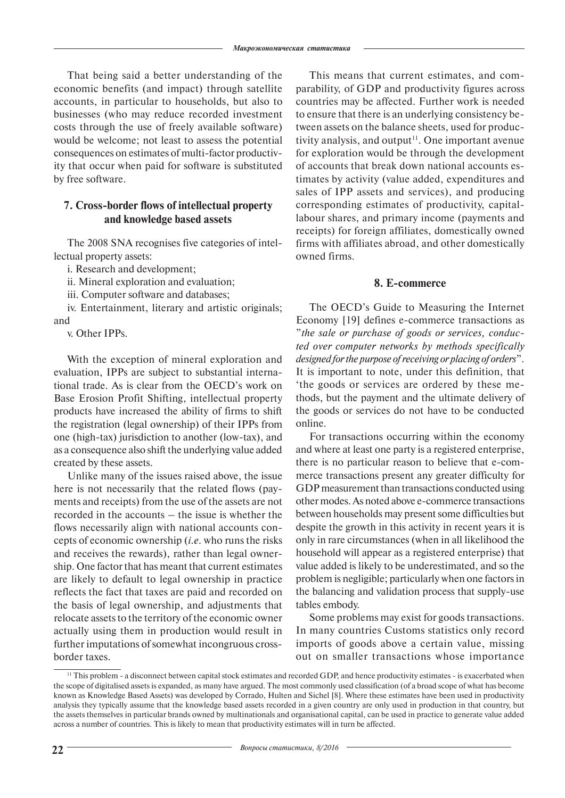That being said a better understanding of the economic benefits (and impact) through satellite accounts, in particular to households, but also to businesses (who may reduce recorded investment costs through the use of freely available software) would be welcome; not least to assess the potential consequences on estimates of multi-factor productivity that occur when paid for software is substituted by free software.

# **7. Cross-border flows of intellectual property and knowledge based assets**

The 2008 SNA recognises five categories of intellectual property assets:

i. Research and development;

ii. Mineral exploration and evaluation;

iii. Computer software and databases;

iv. Entertainment, literary and artistic originals; and

v. Other IPPs.

With the exception of mineral exploration and evaluation, IPPs are subject to substantial international trade. As is clear from the OECD's work on Base Erosion Profit Shifting, intellectual property products have increased the ability of firms to shift the registration (legal ownership) of their IPPs from one (high-tax) jurisdiction to another (low-tax), and as a consequence also shift the underlying value added created by these assets.

Unlike many of the issues raised above, the issue here is not necessarily that the related flows (payments and receipts) from the use of the assets are not recorded in the accounts – the issue is whether the flows necessarily align with national accounts concepts of economic ownership (*i.e*. who runs the risks and receives the rewards), rather than legal ownership. One factor that has meant that current estimates are likely to default to legal ownership in practice reflects the fact that taxes are paid and recorded on the basis of legal ownership, and adjustments that relocate assets to the territory of the economic owner actually using them in production would result in further imputations of somewhat incongruous crossborder taxes.

This means that current estimates, and comparability, of GDP and productivity figures across countries may be affected. Further work is needed to ensure that there is an underlying consistency between assets on the balance sheets, used for productivity analysis, and output $11$ . One important avenue for exploration would be through the development of accounts that break down national accounts estimates by activity (value added, expenditures and sales of IPP assets and services), and producing corresponding estimates of productivity, capitallabour shares, and primary income (payments and receipts) for foreign affiliates, domestically owned firms with affiliates abroad, and other domestically owned firms.

## **8. E-commerce**

The OECD's Guide to Measuring the Internet Economy [19] defines e-commerce transactions as "*the sale or purchase of goods or services, conducted over computer networks by methods specifically designed for the purpose of receiving or placing of orders*". It is important to note, under this definition, that 'the goods or services are ordered by these methods, but the payment and the ultimate delivery of the goods or services do not have to be conducted online.

For transactions occurring within the economy and where at least one party is a registered enterprise, there is no particular reason to believe that e-commerce transactions present any greater difficulty for GDP measurement than transactions conducted using other modes. As noted above e-commerce transactions between households may present some difficulties but despite the growth in this activity in recent years it is only in rare circumstances (when in all likelihood the household will appear as a registered enterprise) that value added is likely to be underestimated, and so the problem is negligible; particularly when one factors in the balancing and validation process that supply-use tables embody.

Some problems may exist for goods transactions. In many countries Customs statistics only record imports of goods above a certain value, missing out on smaller transactions whose importance

<sup>11</sup> This problem - a disconnect between capital stock estimates and recorded GDP, and hence productivity estimates - is exacerbated when the scope of digitalised assets is expanded, as many have argued. The most commonly used classification (of a broad scope of what has become known as Knowledge Based Assets) was developed by Corrado, Hulten and Sichel [8]. Where these estimates have been used in productivity analysis they typically assume that the knowledge based assets recorded in a given country are only used in production in that country, but the assets themselves in particular brands owned by multinationals and organisational capital, can be used in practice to generate value added across a number of countries. This is likely to mean that productivity estimates will in turn be affected.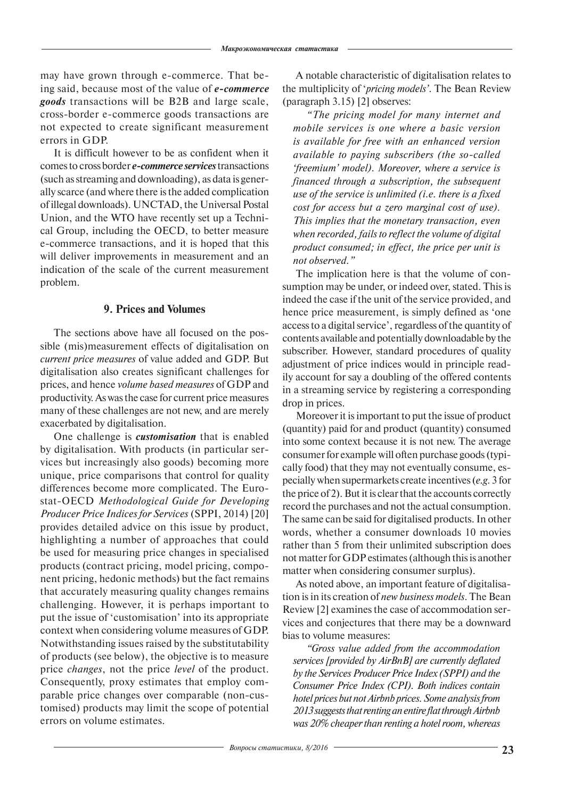may have grown through e-commerce. That being said, because most of the value of *e-commerce goods* transactions will be B2B and large scale, cross-border e-commerce goods transactions are not expected to create significant measurement errors in GDP.

It is difficult however to be as confident when it comes to cross border *e-commerce services* transactions (such as streaming and downloading), as data is generally scarce (and where there is the added complication of illegal downloads). UNCTAD, the Universal Postal Union, and the WTO have recently set up a Technical Group, including the OECD, to better measure e-commerce transactions, and it is hoped that this will deliver improvements in measurement and an indication of the scale of the current measurement problem.

# **9. Prices and Volumes**

The sections above have all focused on the possible (mis)measurement effects of digitalisation on *current price measures* of value added and GDP. But digitalisation also creates significant challenges for prices, and hence *volume based measures* of GDP and productivity. As was the case for current price measures many of these challenges are not new, and are merely exacerbated by digitalisation.

One challenge is *customisation* that is enabled by digitalisation. With products (in particular services but increasingly also goods) becoming more unique, price comparisons that control for quality differences become more complicated. The Eurostat-OECD *Methodological Guide for Developing Producer Price Indices for Services* (SPPI, 2014) [20] provides detailed advice on this issue by product, highlighting a number of approaches that could be used for measuring price changes in specialised products (contract pricing, model pricing, component pricing, hedonic methods) but the fact remains that accurately measuring quality changes remains challenging. However, it is perhaps important to put the issue of 'customisation' into its appropriate context when considering volume measures of GDP. Notwithstanding issues raised by the substitutability of products (see below), the objective is to measure price *changes*, not the price *level* of the product. Consequently, proxy estimates that employ comparable price changes over comparable (non-customised) products may limit the scope of potential errors on volume estimates.

A notable characteristic of digitalisation relates to the multiplicity of '*pricing models'*. The Bean Review (paragraph 3.15) [2] observes:

*"The pricing model for many internet and mobile services is one where a basic version is available for free with an enhanced version available to paying subscribers (the so-called 'freemium' model). Moreover, where a service is financed through a subscription, the subsequent use of the service is unlimited (i.e. there is a fixed cost for access but a zero marginal cost of use). This implies that the monetary transaction, even when recorded, fails to reflect the volume of digital product consumed; in effect, the price per unit is not observed."* 

The implication here is that the volume of consumption may be under, or indeed over, stated. This is indeed the case if the unit of the service provided, and hence price measurement, is simply defined as 'one access to a digital service', regardless of the quantity of contents available and potentially downloadable by the subscriber. However, standard procedures of quality adjustment of price indices would in principle readily account for say a doubling of the offered contents in a streaming service by registering a corresponding drop in prices.

Moreover it is important to put the issue of product (quantity) paid for and product (quantity) consumed into some context because it is not new. The average consumer for example will often purchase goods (typically food) that they may not eventually consume, especially when supermarkets create incentives (*e.g*. 3 for the price of 2). But it is clear that the accounts correctly record the purchases and not the actual consumption. The same can be said for digitalised products. In other words, whether a consumer downloads 10 movies rather than 5 from their unlimited subscription does not matter for GDP estimates (although this is another matter when considering consumer surplus).

As noted above, an important feature of digitalisation is in its creation of *new business models*. The Bean Review [2] examines the case of accommodation services and conjectures that there may be a downward bias to volume measures:

*"Gross value added from the accommodation services [provided by AirBnB] are currently deflated by the Services Producer Price Index (SPPI) and the Consumer Price Index (CPI). Both indices contain hotel prices but not Airbnb prices. Some analysis from 2013 suggests that renting an entire flat through Airbnb was 20% cheaper than renting a hotel room, whereas*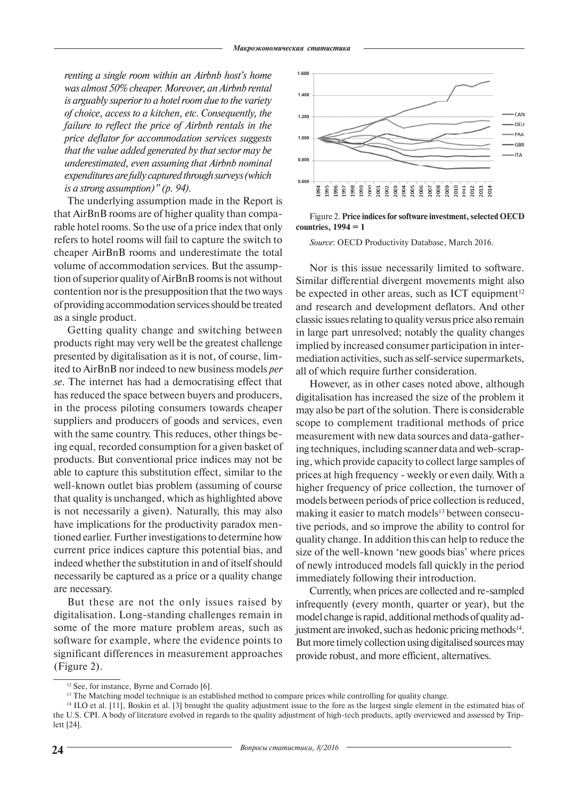*renting a single room within an Airbnb host's home was almost 50% cheaper. Moreover, an Airbnb rental is arguably superior to a hotel room due to the variety of choice, access to a kitchen, etc. Consequently, the failure to reflect the price of Airbnb rentals in the price deflator for accommodation services suggests that the value added generated by that sector may be underestimated, even assuming that Airbnb nominal expenditures are fully captured through surveys (which is a strong assumption)" (p. 94).*

The underlying assumption made in the Report is that AirBnB rooms are of higher quality than comparable hotel rooms. So the use of a price index that only refers to hotel rooms will fail to capture the switch to cheaper AirBnB rooms and underestimate the total volume of accommodation services. But the assumption of superior quality of AirBnB rooms is not without contention nor is the presupposition that the two ways of providing accommodation services should be treated as a single product.

Getting quality change and switching between products right may very well be the greatest challenge presented by digitalisation as it is not, of course, limited to AirBnB nor indeed to new business models *per se*. The internet has had a democratising effect that has reduced the space between buyers and producers, in the process piloting consumers towards cheaper suppliers and producers of goods and services, even with the same country. This reduces, other things being equal, recorded consumption for a given basket of products. But conventional price indices may not be able to capture this substitution effect, similar to the well-known outlet bias problem (assuming of course that quality is unchanged, which as highlighted above is not necessarily a given). Naturally, this may also have implications for the productivity paradox mentioned earlier. Further investigations to determine how current price indices capture this potential bias, and indeed whether the substitution in and of itself should necessarily be captured as a price or a quality change are necessary.

But these are not the only issues raised by digitalisation. Long-standing challenges remain in some of the more mature problem areas, such as software for example, where the evidence points to significant differences in measurement approaches (Figure 2).



Figure 2. **Price indices for software investment, selected OECD countries, 1994 = 1**

*Source*: OECD Productivity Database, March 2016.

Nor is this issue necessarily limited to software. Similar differential divergent movements might also be expected in other areas, such as ICT equipment<sup>12</sup> and research and development deflators. And other classic issues relating to quality versus price also remain in large part unresolved; notably the quality changes implied by increased consumer participation in intermediation activities, such as self-service supermarkets, all of which require further consideration.

However, as in other cases noted above, although digitalisation has increased the size of the problem it may also be part of the solution. There is considerable scope to complement traditional methods of price measurement with new data sources and data-gathering techniques, including scanner data and web-scraping, which provide capacity to collect large samples of prices at high frequency - weekly or even daily. With a higher frequency of price collection, the turnover of models between periods of price collection is reduced, making it easier to match models<sup>13</sup> between consecutive periods, and so improve the ability to control for quality change. In addition this can help to reduce the size of the well-known 'new goods bias' where prices of newly introduced models fall quickly in the period immediately following their introduction.

Currently, when prices are collected and re-sampled infrequently (every month, quarter or year), but the model change is rapid, additional methods of quality adjustment are invoked, such as hedonic pricing methods<sup>14</sup>. But more timely collection using digitalised sources may provide robust, and more efficient, alternatives.

<sup>&</sup>lt;sup>12</sup> See, for instance, Byrne and Corrado [6].

<sup>&</sup>lt;sup>13</sup> The Matching model technique is an established method to compare prices while controlling for quality change.

<sup>&</sup>lt;sup>14</sup> ILO et al. [11], Boskin et al. [3] brought the quality adjustment issue to the fore as the largest single element in the estimated bias of the U.S. CPI. A body of literature evolved in regards to the quality adjustment of high-tech products, aptly overviewed and assessed by Triplett [24].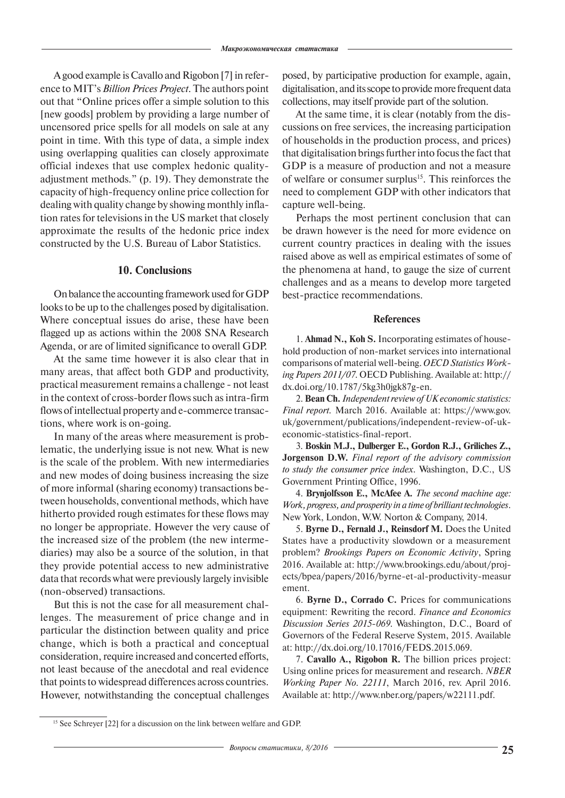A good example is Cavallo and Rigobon [7] in reference to MIT's *Billion Prices Project*. The authors point out that "Online prices offer a simple solution to this [new goods] problem by providing a large number of uncensored price spells for all models on sale at any point in time. With this type of data, a simple index using overlapping qualities can closely approximate official indexes that use complex hedonic qualityadjustment methods." (p. 19). They demonstrate the capacity of high-frequency online price collection for dealing with quality change by showing monthly inflation rates for televisions in the US market that closely approximate the results of the hedonic price index constructed by the U.S. Bureau of Labor Statistics.

## **10. Conclusions**

On balance the accounting framework used for GDP looks to be up to the challenges posed by digitalisation. Where conceptual issues do arise, these have been flagged up as actions within the 2008 SNA Research Agenda, or are of limited significance to overall GDP.

At the same time however it is also clear that in many areas, that affect both GDP and productivity, practical measurement remains a challenge - not least in the context of cross-border flows such as intra-firm flows of intellectual property and e-commerce transactions, where work is on-going.

In many of the areas where measurement is problematic, the underlying issue is not new. What is new is the scale of the problem. With new intermediaries and new modes of doing business increasing the size of more informal (sharing economy) transactions between households, conventional methods, which have hitherto provided rough estimates for these flows may no longer be appropriate. However the very cause of the increased size of the problem (the new intermediaries) may also be a source of the solution, in that they provide potential access to new administrative data that records what were previously largely invisible (non-observed) transactions.

But this is not the case for all measurement challenges. The measurement of price change and in particular the distinction between quality and price change, which is both a practical and conceptual consideration, require increased and concerted efforts, not least because of the anecdotal and real evidence that points to widespread differences across countries. However, notwithstanding the conceptual challenges posed, by participative production for example, again, digitalisation, and its scope to provide more frequent data collections, may itself provide part of the solution.

At the same time, it is clear (notably from the discussions on free services, the increasing participation of households in the production process, and prices) that digitalisation brings further into focus the fact that GDP is a measure of production and not a measure of welfare or consumer surplus<sup>15</sup>. This reinforces the need to complement GDP with other indicators that capture well-being.

Perhaps the most pertinent conclusion that can be drawn however is the need for more evidence on current country practices in dealing with the issues raised above as well as empirical estimates of some of the phenomena at hand, to gauge the size of current challenges and as a means to develop more targeted best-practice recommendations.

## **References**

1. **Ahmad N., Koh S.** Incorporating estimates of household production of non-market services into international comparisons of material well-being. *OECD Statistics Working Papers 2011/07*. OECD Publishing. Available at: http:// dx.doi.org/10.1787/5kg3h0jgk87g-en.

2. **Bean Ch.** *Independent review of UK economic statistics: Final report.* March 2016. Available at: https://www.gov. uk/government/publications/independent-review-of-ukeconomic-statistics-final-report.

3. **Boskin M.J., Dulberger E., Gordon R.J., Griliches Z., Jorgenson D.W.** *Final report of the advisory commission to study the consumer price index*. Washington, D.C., US Government Printing Office, 1996.

4. **Brynjolfsson E., McAfee A.** *The second machine age: Work, progress, and prosperity in a time of brilliant technologies*. New York, London, W.W. Norton & Company, 2014.

5. **Byrne D., Fernald J., Reinsdorf M.** Does the United States have a productivity slowdown or a measurement problem? *Brookings Papers on Economic Activity*, Spring 2016. Available at: http://www.brookings.edu/about/projects/bpea/papers/2016/byrne-et-al-productivity-measur ement.

6. **Byrne D., Corrado C.** Prices for communications equipment: Rewriting the record. *Finance and Economics Discussion Series 2015-069*. Washington, D.C., Board of Governors of the Federal Reserve System, 2015. Available at: http://dx.doi.org/10.17016/FEDS.2015.069.

7. **Cavallo A., Rigobon R.** The billion prices project: Using online prices for measurement and research. *NBER Working Paper No. 22111*, March 2016, rev. April 2016. Available at: http://www.nber.org/papers/w22111.pdf.

<sup>&</sup>lt;sup>15</sup> See Schreyer [22] for a discussion on the link between welfare and GDP.